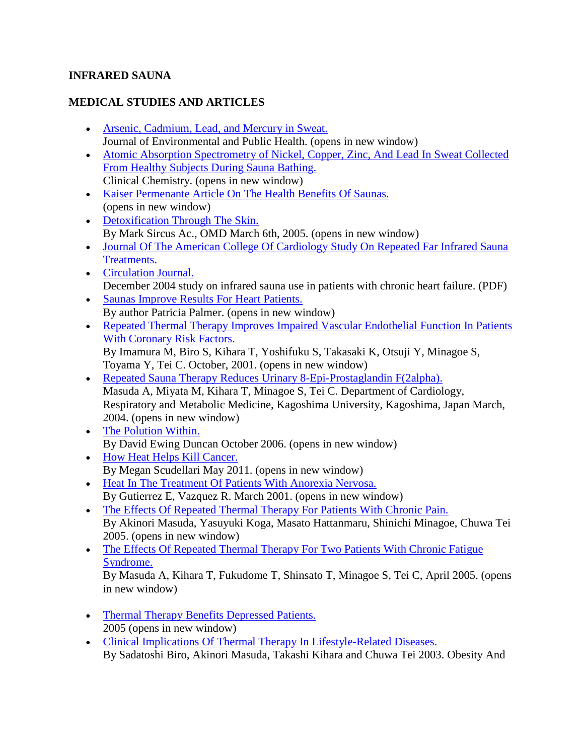## **INFRARED SAUNA**

## **MEDICAL STUDIES AND ARTICLES**

- [Arsenic, Cadmium, Lead, and Mercury in Sweat.](http://www.ncbi.nlm.nih.gov/pmc/articles/PMC3312275/) Journal of Environmental and Public Health. (opens in new window)
- [Atomic Absorption Spectrometry of Nickel, Copper, Zinc, And Lead In Sweat Collected](http://www.clinchem.org/content/19/11/1288)  [From Healthy Subjects During Sauna Bathing.](http://www.clinchem.org/content/19/11/1288) Clinical Chemistry. (opens in new window)
- [Kaiser Permenante Article On The Health Benefits Of Saunas.](http://www.infraredsauna.com/health/kaiser) (opens in new window)
- [Detoxification Through The Skin.](http://www.infraredsauna.com/health/skindetox/mercury.html) By Mark Sircus Ac., OMD March 6th, 2005. (opens in new window)
- Journal Of The American College Of Cardiology Study On Repeated Far Infrared Sauna [Treatments.](http://www.infraredsauna.com/cardiac_infrared_sauna_study.html)
- [Circulation Journal.](http://www.infraredsauna.com/heartsaunastudy.pdf) December 2004 study on infrared sauna use in patients with chronic heart failure. (PDF)
- [Saunas Improve Results For Heart Patients.](http://www.infraredsauna.com/health/heart/) By author Patricia Palmer. (opens in new window)
- [Repeated Thermal Therapy Improves Impaired Vascular Endothelial Function In Patients](http://www.infraredsauna.com/health/vascular1/)  [With Coronary Risk Factors.](http://www.infraredsauna.com/health/vascular1/) By Imamura M, Biro S, Kihara T, Yoshifuku S, Takasaki K, Otsuji Y, Minagoe S,

Toyama Y, Tei C. October, 2001. (opens in new window)

- [Repeated Sauna Therapy Reduces Urinary 8-Epi-Prostaglandin F\(2alpha\).](http://www.infraredsauna.com/health/vascular2/) Masuda A, Miyata M, Kihara T, Minagoe S, Tei C. Department of Cardiology, Respiratory and Metabolic Medicine, Kagoshima University, Kagoshima, Japan March, 2004. (opens in new window)
- [The Polution Within.](http://ngm.nationalgeographic.com/2006/10/toxic-people/duncan-text/1) By David Ewing Duncan October 2006. (opens in new window)
- [How Heat Helps Kill Cancer.](http://the-scientist.com/2011/05/09/how-heat-helps-kill-cancer/) By Megan Scudellari May 2011. (opens in new window)
- [Heat In The Treatment Of Patients With Anorexia Nervosa.](http://www.infraredsauna.com/health/anorexia/) By Gutierrez E, Vazquez R. March 2001. (opens in new window)
- [The Effects Of Repeated Thermal Therapy For Patients With Chronic Pain.](http://www.infraredsauna.com/health/chronicpain/) By Akinori Masuda, Yasuyuki Koga, Masato Hattanmaru, Shinichi Minagoe, Chuwa Tei 2005. (opens in new window)
- The Effects Of Repeated Thermal Therapy For Two Patients With Chronic Fatigue [Syndrome.](http://www.infraredsauna.com/health/chronicfatigue/)

By Masuda A, Kihara T, Fukudome T, Shinsato T, Minagoe S, Tei C, April 2005. (opens in new window)

- Thermal Therapy Benefits Depressed Patients. 2005 (opens in new window)
- [Clinical Implications Of Thermal Therapy In Lifestyle-Related Diseases.](http://www.infraredsauna.com/health/lifestyle/)  By Sadatoshi Biro, Akinori Masuda, Takashi Kihara and Chuwa Tei 2003. Obesity And